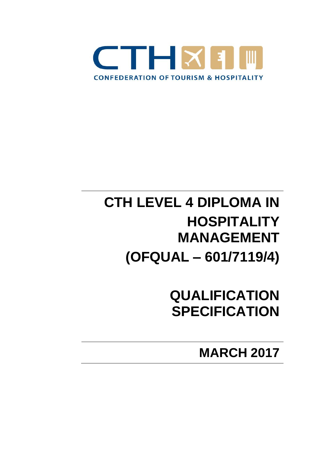

# **CTH LEVEL 4 DIPLOMA IN HOSPITALITY MANAGEMENT (OFQUAL – 601/7119/4)**

**QUALIFICATION SPECIFICATION**

**MARCH 2017**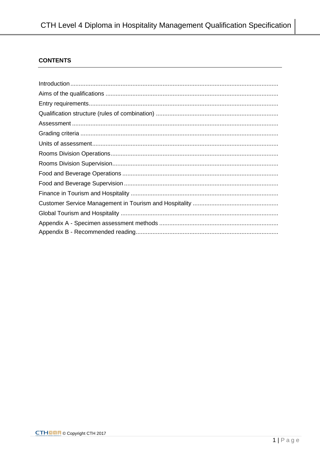## **CONTENTS**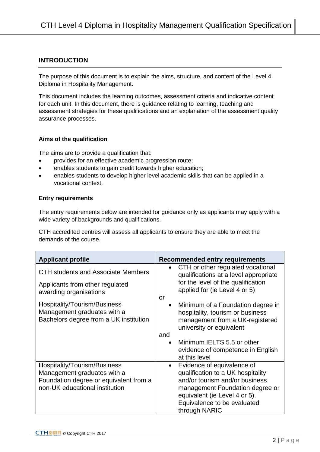### **INTRODUCTION**

The purpose of this document is to explain the aims, structure, and content of the Level 4 Diploma in Hospitality Management.

This document includes the learning outcomes, assessment criteria and indicative content for each unit. In this document, there is guidance relating to learning, teaching and assessment strategies for these qualifications and an explanation of the assessment quality assurance processes.

### **Aims of the qualification**

The aims are to provide a qualification that:

- provides for an effective academic progression route;
- enables students to gain credit towards higher education;
- enables students to develop higher level academic skills that can be applied in a vocational context.

### **Entry requirements**

The entry requirements below are intended for guidance only as applicants may apply with a wide variety of backgrounds and qualifications.

CTH accredited centres will assess all applicants to ensure they are able to meet the demands of the course.

| <b>Applicant profile</b>                                                                                                                | <b>Recommended entry requirements</b>                                                                                                                                                                                              |
|-----------------------------------------------------------------------------------------------------------------------------------------|------------------------------------------------------------------------------------------------------------------------------------------------------------------------------------------------------------------------------------|
| <b>CTH students and Associate Members</b>                                                                                               | CTH or other regulated vocational<br>$\bullet$<br>qualifications at a level appropriate                                                                                                                                            |
| Applicants from other regulated<br>awarding organisations                                                                               | for the level of the qualification<br>applied for (ie Level 4 or 5)                                                                                                                                                                |
| Hospitality/Tourism/Business<br>Management graduates with a<br>Bachelors degree from a UK institution                                   | or<br>Minimum of a Foundation degree in<br>$\bullet$<br>hospitality, tourism or business<br>management from a UK-registered<br>university or equivalent<br>and                                                                     |
|                                                                                                                                         | Minimum IELTS 5.5 or other<br>evidence of competence in English<br>at this level                                                                                                                                                   |
| Hospitality/Tourism/Business<br>Management graduates with a<br>Foundation degree or equivalent from a<br>non-UK educational institution | Evidence of equivalence of<br>$\bullet$<br>qualification to a UK hospitality<br>and/or tourism and/or business<br>management Foundation degree or<br>equivalent (ie Level 4 or 5).<br>Equivalence to be evaluated<br>through NARIC |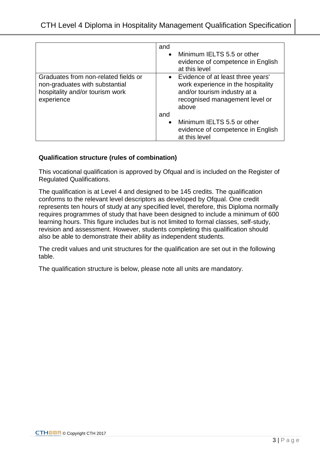|                                                                                                                         | and       | • Minimum IELTS 5.5 or other<br>evidence of competence in English<br>at this level                                                                   |
|-------------------------------------------------------------------------------------------------------------------------|-----------|------------------------------------------------------------------------------------------------------------------------------------------------------|
| Graduates from non-related fields or<br>non-graduates with substantial<br>hospitality and/or tourism work<br>experience |           | • Evidence of at least three years'<br>work experience in the hospitality<br>and/or tourism industry at a<br>recognised management level or<br>above |
|                                                                                                                         | and       |                                                                                                                                                      |
|                                                                                                                         | $\bullet$ | Minimum IELTS 5.5 or other<br>evidence of competence in English<br>at this level                                                                     |

### **Qualification structure (rules of combination)**

This vocational qualification is approved by Ofqual and is included on the Register of Regulated Qualifications.

The qualification is at Level 4 and designed to be 145 credits. The qualification conforms to the relevant level descriptors as developed by Ofqual. One credit represents ten hours of study at any specified level, therefore, this Diploma normally requires programmes of study that have been designed to include a minimum of 600 learning hours. This figure includes but is not limited to formal classes, self-study, revision and assessment. However, students completing this qualification should also be able to demonstrate their ability as independent students.

The credit values and unit structures for the qualification are set out in the following table.

The qualification structure is below, please note all units are mandatory.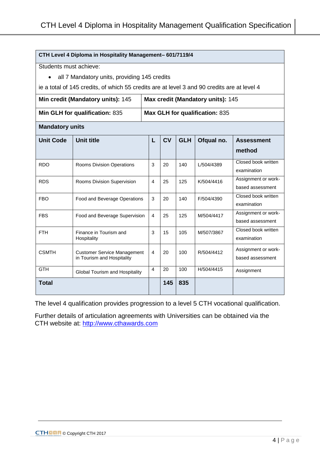| CTH Level 4 Diploma in Hospitality Management- 601/7119/4 |                                                                                             |                |           |            |                                   |                                         |
|-----------------------------------------------------------|---------------------------------------------------------------------------------------------|----------------|-----------|------------|-----------------------------------|-----------------------------------------|
|                                                           | Students must achieve:                                                                      |                |           |            |                                   |                                         |
| $\bullet$                                                 | all 7 Mandatory units, providing 145 credits                                                |                |           |            |                                   |                                         |
|                                                           | ie a total of 145 credits, of which 55 credits are at level 3 and 90 credits are at level 4 |                |           |            |                                   |                                         |
|                                                           | Min credit (Mandatory units): 145                                                           |                |           |            | Max credit (Mandatory units): 145 |                                         |
|                                                           | Min GLH for qualification: 835                                                              |                |           |            | Max GLH for qualification: 835    |                                         |
| <b>Mandatory units</b>                                    |                                                                                             |                |           |            |                                   |                                         |
| <b>Unit Code</b>                                          | <b>Unit title</b>                                                                           | L              | <b>CV</b> | <b>GLH</b> | Ofqual no.                        | <b>Assessment</b>                       |
|                                                           |                                                                                             |                |           |            |                                   | method                                  |
| <b>RDO</b>                                                | Rooms Division Operations                                                                   | 3              | 20        | 140        | L/504/4389                        | Closed book written                     |
|                                                           |                                                                                             |                |           |            |                                   | examination                             |
| <b>RDS</b>                                                | Rooms Division Supervision                                                                  | 4              | 25        | 125        | K/504/4416                        | Assignment or work-<br>based assessment |
| <b>FBO</b>                                                | Food and Beverage Operations                                                                | 3              | 20        | 140        | F/504/4390                        | Closed book written                     |
|                                                           |                                                                                             |                |           |            |                                   | examination                             |
| <b>FBS</b>                                                | Food and Beverage Supervision                                                               | 4              | 25        | 125        | M/504/4417                        | Assignment or work-                     |
|                                                           |                                                                                             |                |           |            |                                   | based assessment                        |
| <b>FTH</b>                                                | Finance in Tourism and<br>Hospitality                                                       | 3              | 15        | 105        | M/507/3867                        | Closed book written<br>examination      |
|                                                           |                                                                                             |                |           |            |                                   |                                         |
| <b>CSMTH</b>                                              | <b>Customer Service Management</b><br>in Tourism and Hospitality                            | $\overline{4}$ | 20        | 100        | R/504/4412                        | Assignment or work-<br>based assessment |
|                                                           |                                                                                             |                |           |            |                                   |                                         |
| <b>GTH</b>                                                | Global Tourism and Hospitality                                                              | $\overline{4}$ | 20        | 100        | H/504/4415                        | Assignment                              |
| 835<br><b>Total</b><br>145                                |                                                                                             |                |           |            |                                   |                                         |

The level 4 qualification provides progression to a level 5 CTH vocational qualification.

Further details of articulation agreements with Universities can be obtained via the CTH website at: [http://www.cthawards.com](http://www.cthawards.com/)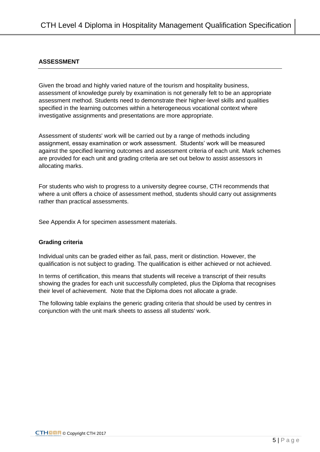### **ASSESSMENT**

Given the broad and highly varied nature of the tourism and hospitality business, assessment of knowledge purely by examination is not generally felt to be an appropriate assessment method. Students need to demonstrate their higher-level skills and qualities specified in the learning outcomes within a heterogeneous vocational context where investigative assignments and presentations are more appropriate.

Assessment of students' work will be carried out by a range of methods including assignment, essay examination or work assessment. Students' work will be measured against the specified learning outcomes and assessment criteria of each unit. Mark schemes are provided for each unit and grading criteria are set out below to assist assessors in allocating marks.

For students who wish to progress to a university degree course, CTH recommends that where a unit offers a choice of assessment method, students should carry out assignments rather than practical assessments.

See Appendix A for specimen assessment materials.

### **Grading criteria**

Individual units can be graded either as fail, pass, merit or distinction. However, the qualification is not subject to grading. The qualification is either achieved or not achieved.

In terms of certification, this means that students will receive a transcript of their results showing the grades for each unit successfully completed, plus the Diploma that recognises their level of achievement. Note that the Diploma does not allocate a grade.

The following table explains the generic grading criteria that should be used by centres in conjunction with the unit mark sheets to assess all students' work.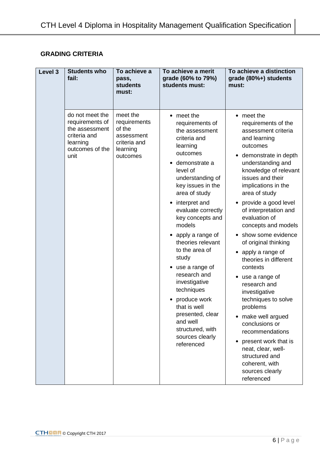## **GRADING CRITERIA**

| Level 3 | <b>Students who</b><br>fail:                                                                                | To achieve a<br>pass,<br><b>students</b><br>must:                                        | To achieve a merit<br>grade (60% to 79%)<br>students must:                                                                                                                                                                                                                                                                                                                                                                                                                                                                                | To achieve a distinction<br>grade (80%+) students<br>must:                                                                                                                                                                                                                                                                                                                                                                                                                                                                                                                                                                                                                                   |
|---------|-------------------------------------------------------------------------------------------------------------|------------------------------------------------------------------------------------------|-------------------------------------------------------------------------------------------------------------------------------------------------------------------------------------------------------------------------------------------------------------------------------------------------------------------------------------------------------------------------------------------------------------------------------------------------------------------------------------------------------------------------------------------|----------------------------------------------------------------------------------------------------------------------------------------------------------------------------------------------------------------------------------------------------------------------------------------------------------------------------------------------------------------------------------------------------------------------------------------------------------------------------------------------------------------------------------------------------------------------------------------------------------------------------------------------------------------------------------------------|
|         | do not meet the<br>requirements of<br>the assessment<br>criteria and<br>learning<br>outcomes of the<br>unit | meet the<br>requirements<br>of the<br>assessment<br>criteria and<br>learning<br>outcomes | $\bullet$ meet the<br>requirements of<br>the assessment<br>criteria and<br>learning<br>outcomes<br>demonstrate a<br>level of<br>understanding of<br>key issues in the<br>area of study<br>interpret and<br>٠<br>evaluate correctly<br>key concepts and<br>models<br>• apply a range of<br>theories relevant<br>to the area of<br>study<br>use a range of<br>$\bullet$<br>research and<br>investigative<br>techniques<br>produce work<br>that is well<br>presented, clear<br>and well<br>structured, with<br>sources clearly<br>referenced | • meet the<br>requirements of the<br>assessment criteria<br>and learning<br>outcomes<br>demonstrate in depth<br>understanding and<br>knowledge of relevant<br>issues and their<br>implications in the<br>area of study<br>provide a good level<br>of interpretation and<br>evaluation of<br>concepts and models<br>show some evidence<br>of original thinking<br>• apply a range of<br>theories in different<br>contexts<br>use a range of<br>research and<br>investigative<br>techniques to solve<br>problems<br>• make well argued<br>conclusions or<br>recommendations<br>present work that is<br>neat, clear, well-<br>structured and<br>coherent, with<br>sources clearly<br>referenced |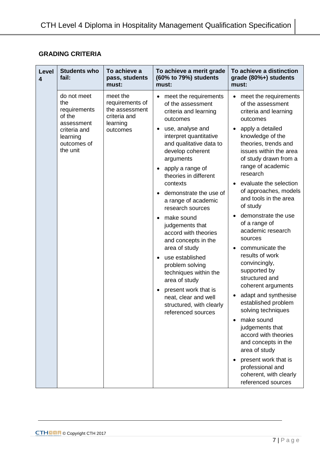## **GRADING CRITERIA**

| <b>Level</b><br>$\overline{\mathbf{4}}$ | <b>Students who</b><br>fail:                                                                                      | To achieve a<br>pass, students<br>must:                                               | To achieve a merit grade<br>(60% to 79%) students<br>must:                                                                                                                                                                                                                                                                                                                                                                                                                                                                                                                                                                                                                       | To achieve a distinction<br>grade (80%+) students<br>must:                                                                                                                                                                                                                                                                                                                                                                                                                                                                                                                                                                                                                                                                                                                           |
|-----------------------------------------|-------------------------------------------------------------------------------------------------------------------|---------------------------------------------------------------------------------------|----------------------------------------------------------------------------------------------------------------------------------------------------------------------------------------------------------------------------------------------------------------------------------------------------------------------------------------------------------------------------------------------------------------------------------------------------------------------------------------------------------------------------------------------------------------------------------------------------------------------------------------------------------------------------------|--------------------------------------------------------------------------------------------------------------------------------------------------------------------------------------------------------------------------------------------------------------------------------------------------------------------------------------------------------------------------------------------------------------------------------------------------------------------------------------------------------------------------------------------------------------------------------------------------------------------------------------------------------------------------------------------------------------------------------------------------------------------------------------|
|                                         | do not meet<br>the<br>requirements<br>of the<br>assessment<br>criteria and<br>learning<br>outcomes of<br>the unit | meet the<br>requirements of<br>the assessment<br>criteria and<br>learning<br>outcomes | meet the requirements<br>$\bullet$<br>of the assessment<br>criteria and learning<br>outcomes<br>use, analyse and<br>٠<br>interpret quantitative<br>and qualitative data to<br>develop coherent<br>arguments<br>apply a range of<br>$\bullet$<br>theories in different<br>contexts<br>demonstrate the use of<br>$\bullet$<br>a range of academic<br>research sources<br>make sound<br>$\bullet$<br>judgements that<br>accord with theories<br>and concepts in the<br>area of study<br>use established<br>$\bullet$<br>problem solving<br>techniques within the<br>area of study<br>present work that is<br>neat, clear and well<br>structured, with clearly<br>referenced sources | meet the requirements<br>of the assessment<br>criteria and learning<br>outcomes<br>apply a detailed<br>knowledge of the<br>theories, trends and<br>issues within the area<br>of study drawn from a<br>range of academic<br>research<br>evaluate the selection<br>of approaches, models<br>and tools in the area<br>of study<br>demonstrate the use<br>of a range of<br>academic research<br>sources<br>communicate the<br>results of work<br>convincingly,<br>supported by<br>structured and<br>coherent arguments<br>adapt and synthesise<br>established problem<br>solving techniques<br>make sound<br>judgements that<br>accord with theories<br>and concepts in the<br>area of study<br>present work that is<br>professional and<br>coherent, with clearly<br>referenced sources |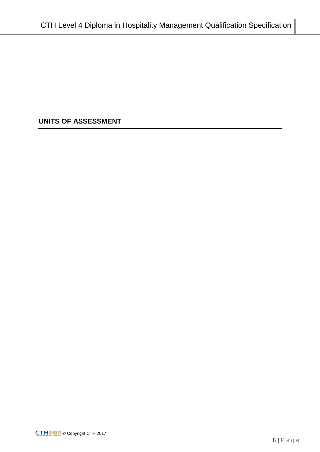# **UNITS OF ASSESSMENT**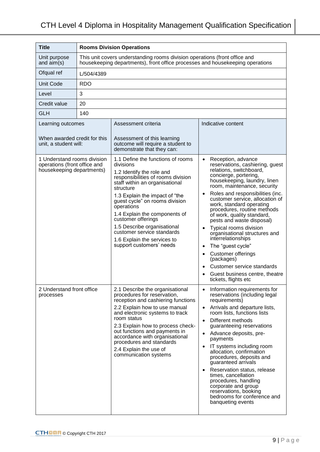| <b>Title</b>                                                                             |            | <b>Rooms Division Operations</b>                                                                                                                                                                                                                                                                                                                                                                                                  |                                                                                                                                                                                                                                                                                                                                                                                                                                                                                                                                                                                                                                          |  |  |
|------------------------------------------------------------------------------------------|------------|-----------------------------------------------------------------------------------------------------------------------------------------------------------------------------------------------------------------------------------------------------------------------------------------------------------------------------------------------------------------------------------------------------------------------------------|------------------------------------------------------------------------------------------------------------------------------------------------------------------------------------------------------------------------------------------------------------------------------------------------------------------------------------------------------------------------------------------------------------------------------------------------------------------------------------------------------------------------------------------------------------------------------------------------------------------------------------------|--|--|
| Unit purpose<br>and $aim(s)$                                                             |            | This unit covers understanding rooms division operations (front office and<br>housekeeping departments), front office processes and housekeeping operations                                                                                                                                                                                                                                                                       |                                                                                                                                                                                                                                                                                                                                                                                                                                                                                                                                                                                                                                          |  |  |
| Ofqual ref                                                                               | L/504/4389 |                                                                                                                                                                                                                                                                                                                                                                                                                                   |                                                                                                                                                                                                                                                                                                                                                                                                                                                                                                                                                                                                                                          |  |  |
| <b>Unit Code</b>                                                                         | <b>RDO</b> |                                                                                                                                                                                                                                                                                                                                                                                                                                   |                                                                                                                                                                                                                                                                                                                                                                                                                                                                                                                                                                                                                                          |  |  |
| Level                                                                                    | 3          |                                                                                                                                                                                                                                                                                                                                                                                                                                   |                                                                                                                                                                                                                                                                                                                                                                                                                                                                                                                                                                                                                                          |  |  |
| Credit value                                                                             | 20         |                                                                                                                                                                                                                                                                                                                                                                                                                                   |                                                                                                                                                                                                                                                                                                                                                                                                                                                                                                                                                                                                                                          |  |  |
| <b>GLH</b>                                                                               | 140        |                                                                                                                                                                                                                                                                                                                                                                                                                                   |                                                                                                                                                                                                                                                                                                                                                                                                                                                                                                                                                                                                                                          |  |  |
| Learning outcomes                                                                        |            | Assessment criteria                                                                                                                                                                                                                                                                                                                                                                                                               | Indicative content                                                                                                                                                                                                                                                                                                                                                                                                                                                                                                                                                                                                                       |  |  |
| When awarded credit for this<br>unit, a student will:                                    |            | Assessment of this learning<br>outcome will require a student to<br>demonstrate that they can:                                                                                                                                                                                                                                                                                                                                    |                                                                                                                                                                                                                                                                                                                                                                                                                                                                                                                                                                                                                                          |  |  |
| 1 Understand rooms division<br>operations (front office and<br>housekeeping departments) |            | 1.1 Define the functions of rooms<br>divisions<br>1.2 Identify the role and<br>responsibilities of rooms division<br>staff within an organisational<br>structure<br>1.3 Explain the impact of "the<br>guest cycle" on rooms division<br>operations<br>1.4 Explain the components of<br>customer offerings<br>1.5 Describe organisational<br>customer service standards<br>1.6 Explain the services to<br>support customers' needs | Reception, advance<br>$\bullet$<br>reservations, cashiering, guest<br>relations, switchboard,<br>concierge, portering,<br>housekeeping, laundry, linen<br>room, maintenance, security<br>Roles and responsibilities (inc.<br>$\bullet$<br>customer service, allocation of<br>work, standard operating<br>procedures, routine methods<br>of work, quality standard,<br>pests and waste disposal)<br>Typical rooms division<br>organisational structures and<br>interrelationships<br>The "guest cycle"<br><b>Customer offerings</b><br>(packages)<br>Customer service standards<br>Guest business centre, theatre<br>tickets, flights etc |  |  |
| 2 Understand front office<br>processes                                                   |            | 2.1 Describe the organisational<br>procedures for reservation,<br>reception and cashiering functions<br>2.2 Explain how to use manual<br>and electronic systems to track<br>room status<br>2.3 Explain how to process check-<br>out functions and payments in<br>accordance with organisational<br>procedures and standards<br>2.4 Explain the use of<br>communication systems                                                    | Information requirements for<br>$\bullet$<br>reservations (including legal<br>requirements)<br>Arrivals and departure lists,<br>room lists, functions lists<br>Different methods<br>guaranteeing reservations<br>Advance deposits, pre-<br>payments<br>IT systems including room<br>allocation, confirmation<br>procedures, deposits and<br>guaranteed arrivals<br>Reservation status, release<br>times, cancellation<br>procedures, handling<br>corporate and group<br>reservations, booking<br>bedrooms for conference and<br>banqueting events                                                                                        |  |  |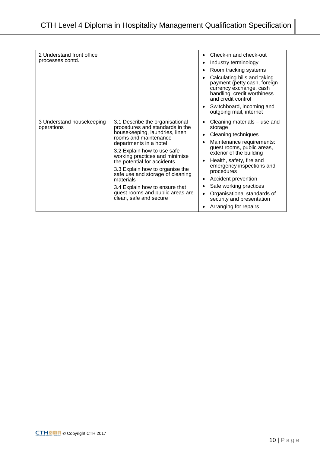| 2 Understand front office<br>processes contd. |                                                                                                                                                                                                                                                                                                                                                                                                                                             | Check-in and check-out<br>$\bullet$<br>Industry terminology<br>Room tracking systems<br>٠<br>Calculating bills and taking<br>payment (petty cash, foreign<br>currency exchange, cash<br>handling, credit worthiness<br>and credit control<br>Switchboard, incoming and<br>٠<br>outgoing mail, internet                                                                                                                   |
|-----------------------------------------------|---------------------------------------------------------------------------------------------------------------------------------------------------------------------------------------------------------------------------------------------------------------------------------------------------------------------------------------------------------------------------------------------------------------------------------------------|--------------------------------------------------------------------------------------------------------------------------------------------------------------------------------------------------------------------------------------------------------------------------------------------------------------------------------------------------------------------------------------------------------------------------|
| 3 Understand housekeeping<br>operations       | 3.1 Describe the organisational<br>procedures and standards in the<br>housekeeping, laundries, linen<br>rooms and maintenance<br>departments in a hotel<br>3.2 Explain how to use safe<br>working practices and minimise<br>the potential for accidents<br>3.3 Explain how to organise the<br>safe use and storage of cleaning<br>materials<br>3.4 Explain how to ensure that<br>guest rooms and public areas are<br>clean, safe and secure | Cleaning materials – use and<br>٠<br>storage<br>Cleaning techniques<br>$\bullet$<br>Maintenance requirements:<br>guest rooms, public areas,<br>exterior of the building<br>Health, safety, fire and<br>$\bullet$<br>emergency inspections and<br>procedures<br>Accident prevention<br>٠<br>Safe working practices<br>٠<br>Organisational standards of<br>$\bullet$<br>security and presentation<br>Arranging for repairs |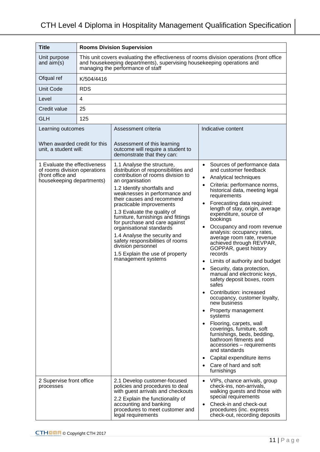| <b>Title</b>                                                                                                   | <b>Rooms Division Supervision</b> |                                                                                                                                                                                                                                                                                                                                                                                                                                                                                                                                            |                                                                                                                                                                                                                                                                                                                                                                                                                                                                                                                                                                                                                                                                                                                                                                                                                                                                                                                                                                                                                     |  |  |
|----------------------------------------------------------------------------------------------------------------|-----------------------------------|--------------------------------------------------------------------------------------------------------------------------------------------------------------------------------------------------------------------------------------------------------------------------------------------------------------------------------------------------------------------------------------------------------------------------------------------------------------------------------------------------------------------------------------------|---------------------------------------------------------------------------------------------------------------------------------------------------------------------------------------------------------------------------------------------------------------------------------------------------------------------------------------------------------------------------------------------------------------------------------------------------------------------------------------------------------------------------------------------------------------------------------------------------------------------------------------------------------------------------------------------------------------------------------------------------------------------------------------------------------------------------------------------------------------------------------------------------------------------------------------------------------------------------------------------------------------------|--|--|
| Unit purpose<br>and $aim(s)$                                                                                   |                                   | This unit covers evaluating the effectiveness of rooms division operations (front office<br>and housekeeping departments), supervising housekeeping operations and<br>managing the performance of staff                                                                                                                                                                                                                                                                                                                                    |                                                                                                                                                                                                                                                                                                                                                                                                                                                                                                                                                                                                                                                                                                                                                                                                                                                                                                                                                                                                                     |  |  |
| Ofqual ref                                                                                                     | K/504/4416                        |                                                                                                                                                                                                                                                                                                                                                                                                                                                                                                                                            |                                                                                                                                                                                                                                                                                                                                                                                                                                                                                                                                                                                                                                                                                                                                                                                                                                                                                                                                                                                                                     |  |  |
| <b>Unit Code</b>                                                                                               | <b>RDS</b>                        |                                                                                                                                                                                                                                                                                                                                                                                                                                                                                                                                            |                                                                                                                                                                                                                                                                                                                                                                                                                                                                                                                                                                                                                                                                                                                                                                                                                                                                                                                                                                                                                     |  |  |
| Level                                                                                                          | 4                                 |                                                                                                                                                                                                                                                                                                                                                                                                                                                                                                                                            |                                                                                                                                                                                                                                                                                                                                                                                                                                                                                                                                                                                                                                                                                                                                                                                                                                                                                                                                                                                                                     |  |  |
| Credit value                                                                                                   | 25                                |                                                                                                                                                                                                                                                                                                                                                                                                                                                                                                                                            |                                                                                                                                                                                                                                                                                                                                                                                                                                                                                                                                                                                                                                                                                                                                                                                                                                                                                                                                                                                                                     |  |  |
| <b>GLH</b>                                                                                                     | 125                               |                                                                                                                                                                                                                                                                                                                                                                                                                                                                                                                                            |                                                                                                                                                                                                                                                                                                                                                                                                                                                                                                                                                                                                                                                                                                                                                                                                                                                                                                                                                                                                                     |  |  |
| Learning outcomes<br>When awarded credit for this                                                              |                                   | Assessment criteria                                                                                                                                                                                                                                                                                                                                                                                                                                                                                                                        | Indicative content                                                                                                                                                                                                                                                                                                                                                                                                                                                                                                                                                                                                                                                                                                                                                                                                                                                                                                                                                                                                  |  |  |
| unit, a student will:                                                                                          |                                   | Assessment of this learning<br>outcome will require a student to<br>demonstrate that they can:                                                                                                                                                                                                                                                                                                                                                                                                                                             |                                                                                                                                                                                                                                                                                                                                                                                                                                                                                                                                                                                                                                                                                                                                                                                                                                                                                                                                                                                                                     |  |  |
| 1 Evaluate the effectiveness<br>of rooms division operations<br>(front office and<br>housekeeping departments) |                                   | 1.1 Analyse the structure,<br>distribution of responsibilities and<br>contribution of rooms division to<br>an organisation<br>1.2 Identify shortfalls and<br>weaknesses in performance and<br>their causes and recommend<br>practicable improvements<br>1.3 Evaluate the quality of<br>furniture, furnishings and fittings<br>for purchase and care against<br>organisational standards<br>1.4 Analyse the security and<br>safety responsibilities of rooms<br>division personnel<br>1.5 Explain the use of property<br>management systems | Sources of performance data<br>and customer feedback<br>Analytical techniques<br>$\bullet$<br>Criteria: performance norms,<br>$\bullet$<br>historical data, meeting legal<br>requirements<br>Forecasting data required:<br>$\bullet$<br>length of stay, origin, average<br>expenditure, source of<br>bookings<br>Occupancy and room revenue<br>$\bullet$<br>analysis: occupancy rates,<br>average room rate, revenue<br>achieved through REVPAR,<br>GOPPAR, guest history<br>records<br>Limits of authority and budget<br>Security, data protection,<br>$\bullet$<br>manual and electronic keys,<br>safety deposit boxes, room<br>safes<br>Contribution: increased<br>occupancy, customer loyalty,<br>new business<br>Property management<br>systems<br>Flooring, carpets, wall<br>$\bullet$<br>coverings, furniture, soft<br>furnishings, beds, bedding,<br>bathroom fitments and<br>accessories - requirements<br>and standards<br>Capital expenditure items<br>Care of hard and soft<br>$\bullet$<br>furnishings |  |  |
| 2 Supervise front office<br>processes                                                                          |                                   | 2.1 Develop customer-focused<br>policies and procedures to deal<br>with guest arrivals and checkouts<br>2.2 Explain the functionality of<br>accounting and banking<br>procedures to meet customer and<br>legal requirements                                                                                                                                                                                                                                                                                                                | VIPs, chance arrivals, group<br>$\bullet$<br>check-ins, non-arrivals,<br>walking guests and those with<br>special requirements<br>Check-in and check-out<br>procedures (inc. express<br>check-out, recording deposits                                                                                                                                                                                                                                                                                                                                                                                                                                                                                                                                                                                                                                                                                                                                                                                               |  |  |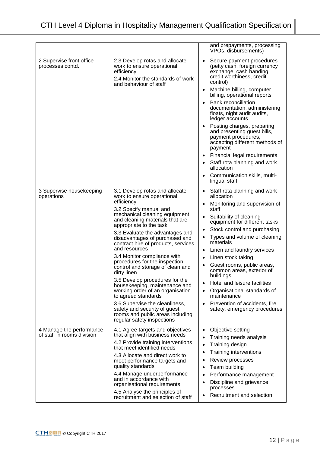|                                                        |                                                                                                                                                                                                                                                                                                                                                                                                                                                                                                                                                                                                                                                                                                                        | and prepayments, processing<br>VPOs, disbursements)                                                                                                                                                                                                                                                                                                                                                                                                                                                                                                                                                              |
|--------------------------------------------------------|------------------------------------------------------------------------------------------------------------------------------------------------------------------------------------------------------------------------------------------------------------------------------------------------------------------------------------------------------------------------------------------------------------------------------------------------------------------------------------------------------------------------------------------------------------------------------------------------------------------------------------------------------------------------------------------------------------------------|------------------------------------------------------------------------------------------------------------------------------------------------------------------------------------------------------------------------------------------------------------------------------------------------------------------------------------------------------------------------------------------------------------------------------------------------------------------------------------------------------------------------------------------------------------------------------------------------------------------|
| 2 Supervise front office<br>processes contd.           | 2.3 Develop rotas and allocate<br>work to ensure operational<br>efficiency<br>2.4 Monitor the standards of work<br>and behaviour of staff                                                                                                                                                                                                                                                                                                                                                                                                                                                                                                                                                                              | Secure payment procedures<br>(petty cash, foreign currency<br>exchange, cash handing,<br>credit worthiness, credit<br>control)<br>Machine billing, computer<br>billing, operational reports<br>Bank reconciliation,<br>documentation, administering<br>floats, night audit audits,<br>ledger accounts<br>Posting charges, preparing<br>and presenting guest bills,<br>payment procedures,<br>accepting different methods of<br>payment<br>Financial legal requirements<br>Staff rota planning and work<br>allocation<br>Communication skills, multi-<br>$\bullet$<br>lingual staff                               |
| 3 Supervise housekeeping<br>operations                 | 3.1 Develop rotas and allocate<br>work to ensure operational<br>efficiency<br>3.2 Specify manual and<br>mechanical cleaning equipment<br>and cleaning materials that are<br>appropriate to the task<br>3.3 Evaluate the advantages and<br>disadvantages of purchased and<br>contract hire of products, services<br>and resources<br>3.4 Monitor compliance with<br>procedures for the inspection,<br>control and storage of clean and<br>dirty linen<br>3.5 Develop procedures for the<br>housekeeping, maintenance and<br>working order of an organisation<br>to agreed standards<br>3.6 Supervise the cleanliness,<br>safety and security of guest<br>rooms and public areas including<br>regular safety inspections | Staff rota planning and work<br>$\bullet$<br>allocation<br>Monitoring and supervision of<br>$\bullet$<br>staff<br>Suitability of cleaning<br>$\bullet$<br>equipment for different tasks<br>Stock control and purchasing<br>$\bullet$<br>Types and volume of cleaning<br>$\bullet$<br>materials<br>Linen and laundry services<br>$\bullet$<br>Linen stock taking<br>Guest rooms, public areas,<br>$\bullet$<br>common areas, exterior of<br>buildings<br>Hotel and leisure facilities<br>Organisational standards of<br>maintenance<br>Prevention of accidents, fire<br>$\bullet$<br>safety, emergency procedures |
| 4 Manage the performance<br>of staff in rooms division | 4.1 Agree targets and objectives<br>that align with business needs<br>4.2 Provide training interventions<br>that meet identified needs<br>4.3 Allocate and direct work to<br>meet performance targets and<br>quality standards<br>4.4 Manage underperformance<br>and in accordance with<br>organisational requirements<br>4.5 Analyse the principles of<br>recruitment and selection of staff                                                                                                                                                                                                                                                                                                                          | Objective setting<br>$\bullet$<br>Training needs analysis<br>Training design<br>Training interventions<br>٠<br>Review processes<br>$\bullet$<br>Team building<br>Performance management<br>$\bullet$<br>Discipline and grievance<br>processes<br>Recruitment and selection                                                                                                                                                                                                                                                                                                                                       |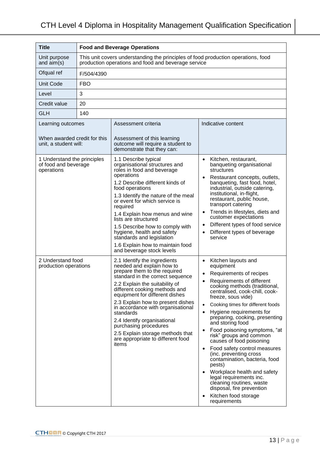| <b>Title</b>                                                                                                    | <b>Food and Beverage Operations</b>                                                                                                      |                                                                                                                                                                                                                                                                                                                                                                                                                                                                                                                                                                                                                                                                                                                                                                                                                                                                                                                                             |                                                                                                                                                                                                                                                                                                                                                                                                                                                                                                                                                                                                                                                                                                                                                                                                                                                                                                                                                                                                                                                                                                       |  |
|-----------------------------------------------------------------------------------------------------------------|------------------------------------------------------------------------------------------------------------------------------------------|---------------------------------------------------------------------------------------------------------------------------------------------------------------------------------------------------------------------------------------------------------------------------------------------------------------------------------------------------------------------------------------------------------------------------------------------------------------------------------------------------------------------------------------------------------------------------------------------------------------------------------------------------------------------------------------------------------------------------------------------------------------------------------------------------------------------------------------------------------------------------------------------------------------------------------------------|-------------------------------------------------------------------------------------------------------------------------------------------------------------------------------------------------------------------------------------------------------------------------------------------------------------------------------------------------------------------------------------------------------------------------------------------------------------------------------------------------------------------------------------------------------------------------------------------------------------------------------------------------------------------------------------------------------------------------------------------------------------------------------------------------------------------------------------------------------------------------------------------------------------------------------------------------------------------------------------------------------------------------------------------------------------------------------------------------------|--|
| Unit purpose<br>and $aim(s)$                                                                                    | This unit covers understanding the principles of food production operations, food<br>production operations and food and beverage service |                                                                                                                                                                                                                                                                                                                                                                                                                                                                                                                                                                                                                                                                                                                                                                                                                                                                                                                                             |                                                                                                                                                                                                                                                                                                                                                                                                                                                                                                                                                                                                                                                                                                                                                                                                                                                                                                                                                                                                                                                                                                       |  |
| Ofqual ref                                                                                                      | F/504/4390                                                                                                                               |                                                                                                                                                                                                                                                                                                                                                                                                                                                                                                                                                                                                                                                                                                                                                                                                                                                                                                                                             |                                                                                                                                                                                                                                                                                                                                                                                                                                                                                                                                                                                                                                                                                                                                                                                                                                                                                                                                                                                                                                                                                                       |  |
| <b>Unit Code</b>                                                                                                | <b>FBO</b>                                                                                                                               |                                                                                                                                                                                                                                                                                                                                                                                                                                                                                                                                                                                                                                                                                                                                                                                                                                                                                                                                             |                                                                                                                                                                                                                                                                                                                                                                                                                                                                                                                                                                                                                                                                                                                                                                                                                                                                                                                                                                                                                                                                                                       |  |
| Level                                                                                                           | 3                                                                                                                                        |                                                                                                                                                                                                                                                                                                                                                                                                                                                                                                                                                                                                                                                                                                                                                                                                                                                                                                                                             |                                                                                                                                                                                                                                                                                                                                                                                                                                                                                                                                                                                                                                                                                                                                                                                                                                                                                                                                                                                                                                                                                                       |  |
| Credit value                                                                                                    | 20                                                                                                                                       |                                                                                                                                                                                                                                                                                                                                                                                                                                                                                                                                                                                                                                                                                                                                                                                                                                                                                                                                             |                                                                                                                                                                                                                                                                                                                                                                                                                                                                                                                                                                                                                                                                                                                                                                                                                                                                                                                                                                                                                                                                                                       |  |
| <b>GLH</b>                                                                                                      | 140                                                                                                                                      |                                                                                                                                                                                                                                                                                                                                                                                                                                                                                                                                                                                                                                                                                                                                                                                                                                                                                                                                             |                                                                                                                                                                                                                                                                                                                                                                                                                                                                                                                                                                                                                                                                                                                                                                                                                                                                                                                                                                                                                                                                                                       |  |
| Learning outcomes<br>When awarded credit for this<br>unit, a student will:                                      |                                                                                                                                          | Assessment criteria<br>Assessment of this learning<br>outcome will require a student to<br>demonstrate that they can:                                                                                                                                                                                                                                                                                                                                                                                                                                                                                                                                                                                                                                                                                                                                                                                                                       | Indicative content                                                                                                                                                                                                                                                                                                                                                                                                                                                                                                                                                                                                                                                                                                                                                                                                                                                                                                                                                                                                                                                                                    |  |
| 1 Understand the principles<br>of food and beverage<br>operations<br>2 Understand food<br>production operations |                                                                                                                                          | 1.1 Describe typical<br>organisational structures and<br>roles in food and beverage<br>operations<br>1.2 Describe different kinds of<br>food operations<br>1.3 Identify the nature of the meal<br>or event for which service is<br>required<br>1.4 Explain how menus and wine<br>lists are structured<br>1.5 Describe how to comply with<br>hygiene, health and safety<br>standards and legislation<br>1.6 Explain how to maintain food<br>and beverage stock levels<br>2.1 Identify the ingredients<br>needed and explain how to<br>prepare them to the required<br>standard in the correct sequence<br>2.2 Explain the suitability of<br>different cooking methods and<br>equipment for different dishes<br>2.3 Explain how to present dishes<br>in accordance with organisational<br>standards<br>2.4 Identify organisational<br>purchasing procedures<br>2.5 Explain storage methods that<br>are appropriate to different food<br>items | Kitchen, restaurant,<br>$\bullet$<br>banqueting organisational<br>structures<br>Restaurant concepts, outlets,<br>$\bullet$<br>banqueting, fast food, hotel,<br>industrial, outside catering,<br>institutional, in-flight,<br>restaurant, public house,<br>transport catering<br>Trends in lifestyles, diets and<br>customer expectations<br>Different types of food service<br>Different types of beverage<br>service<br>Kitchen layouts and<br>equipment<br>Requirements of recipes<br>Requirements of different<br>cooking methods (traditional,<br>centralised, cook-chill, cook-<br>freeze, sous vide)<br>Cooking times for different foods<br>Hygiene requirements for<br>preparing, cooking, presenting<br>and storing food<br>Food poisoning symptoms, "at<br>risk" groups and common<br>causes of food poisoning<br>Food safety control measures<br>$\bullet$<br>(inc. preventing cross<br>contamination, bacteria, food<br>pests)<br>Workplace health and safety<br>legal requirements inc.<br>cleaning routines, waste<br>disposal, fire prevention<br>Kitchen food storage<br>requirements |  |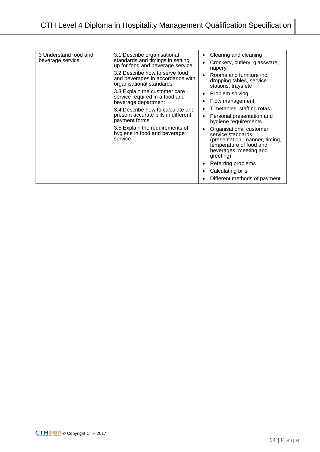| 3 Understand food and<br>beverage service                                                                                          | 3.1 Describe organisational<br>standards and timings in setting<br>up for food and beverage service                                                   | Clearing and cleaning<br>Crockery, cutlery, glassware,<br>napery                         |
|------------------------------------------------------------------------------------------------------------------------------------|-------------------------------------------------------------------------------------------------------------------------------------------------------|------------------------------------------------------------------------------------------|
|                                                                                                                                    | 3.2 Describe how to serve food<br>and beverages in accordance with<br>organisational standards                                                        | Rooms and furniture inc.<br>$\bullet$<br>dropping tables, service<br>stations, trays etc |
|                                                                                                                                    | 3.3 Explain the customer care                                                                                                                         | Problem solving<br>٠                                                                     |
|                                                                                                                                    | service required in a food and<br>beverage department                                                                                                 | Flow management<br>٠                                                                     |
| present accurate bills in different<br>payment forms<br>3.5 Explain the requirements of<br>hygiene in food and beverage<br>service | 3.4 Describe how to calculate and                                                                                                                     | Timetables, staffing rotas                                                               |
|                                                                                                                                    |                                                                                                                                                       | Personal presentation and<br>٠<br>hygiene requirements                                   |
|                                                                                                                                    | Organisational customer<br>٠<br>service standards<br>(presentation, manner, timing,<br>temperature of food and<br>beverages, meeting and<br>greeting) |                                                                                          |
|                                                                                                                                    |                                                                                                                                                       | Referring problems<br>٠                                                                  |
|                                                                                                                                    |                                                                                                                                                       | Calculating bills                                                                        |
|                                                                                                                                    |                                                                                                                                                       | Different methods of payment                                                             |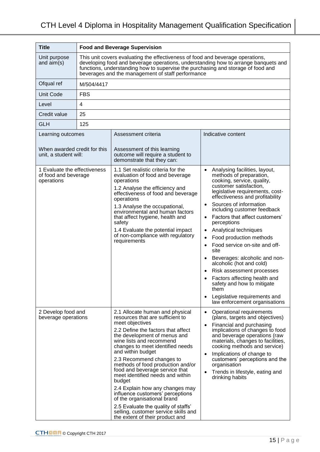| <b>Title</b>                                                               |                | <b>Food and Beverage Supervision</b>                                                                                                                                                                                                                                                                                                                                                                                                                                                                                                                                                                                       |                                                                                                                                                                                                                                                                                                                                                                                                                                                                                                                                                                                                                                                                                    |  |
|----------------------------------------------------------------------------|----------------|----------------------------------------------------------------------------------------------------------------------------------------------------------------------------------------------------------------------------------------------------------------------------------------------------------------------------------------------------------------------------------------------------------------------------------------------------------------------------------------------------------------------------------------------------------------------------------------------------------------------------|------------------------------------------------------------------------------------------------------------------------------------------------------------------------------------------------------------------------------------------------------------------------------------------------------------------------------------------------------------------------------------------------------------------------------------------------------------------------------------------------------------------------------------------------------------------------------------------------------------------------------------------------------------------------------------|--|
| Unit purpose<br>and $aim(s)$                                               |                | This unit covers evaluating the effectiveness of food and beverage operations,<br>developing food and beverage operations, understanding how to arrange banquets and<br>functions, understanding how to supervise the purchasing and storage of food and<br>beverages and the management of staff performance                                                                                                                                                                                                                                                                                                              |                                                                                                                                                                                                                                                                                                                                                                                                                                                                                                                                                                                                                                                                                    |  |
| Ofqual ref                                                                 | M/504/4417     |                                                                                                                                                                                                                                                                                                                                                                                                                                                                                                                                                                                                                            |                                                                                                                                                                                                                                                                                                                                                                                                                                                                                                                                                                                                                                                                                    |  |
| <b>Unit Code</b>                                                           | <b>FBS</b>     |                                                                                                                                                                                                                                                                                                                                                                                                                                                                                                                                                                                                                            |                                                                                                                                                                                                                                                                                                                                                                                                                                                                                                                                                                                                                                                                                    |  |
| Level                                                                      | $\overline{4}$ |                                                                                                                                                                                                                                                                                                                                                                                                                                                                                                                                                                                                                            |                                                                                                                                                                                                                                                                                                                                                                                                                                                                                                                                                                                                                                                                                    |  |
| Credit value                                                               | 25             |                                                                                                                                                                                                                                                                                                                                                                                                                                                                                                                                                                                                                            |                                                                                                                                                                                                                                                                                                                                                                                                                                                                                                                                                                                                                                                                                    |  |
| <b>GLH</b>                                                                 | 125            |                                                                                                                                                                                                                                                                                                                                                                                                                                                                                                                                                                                                                            |                                                                                                                                                                                                                                                                                                                                                                                                                                                                                                                                                                                                                                                                                    |  |
| Learning outcomes<br>When awarded credit for this<br>unit, a student will: |                | Assessment criteria<br>Assessment of this learning<br>outcome will require a student to<br>demonstrate that they can:                                                                                                                                                                                                                                                                                                                                                                                                                                                                                                      | Indicative content                                                                                                                                                                                                                                                                                                                                                                                                                                                                                                                                                                                                                                                                 |  |
| 1 Evaluate the effectiveness<br>of food and beverage<br>operations         |                | 1.1 Set realistic criteria for the<br>evaluation of food and beverage<br>operations<br>1.2 Analyse the efficiency and<br>effectiveness of food and beverage<br>operations<br>1.3 Analyse the occupational,<br>environmental and human factors<br>that affect hygiene, health and<br>safety<br>1.4 Evaluate the potential impact<br>of non-compliance with regulatory<br>requirements                                                                                                                                                                                                                                       | Analysing facilities, layout,<br>methods of preparation,<br>cooking, service, quality,<br>customer satisfaction,<br>legislative requirements, cost-<br>effectiveness and profitability<br>Sources of information<br>$\bullet$<br>including customer feedback<br>Factors that affect customers'<br>$\bullet$<br>perceptions<br>Analytical techniques<br>$\bullet$<br>Food production methods<br>$\bullet$<br>Food service on-site and off-<br>site<br>Beverages: alcoholic and non-<br>alcoholic (hot and cold)<br>Risk assessment processes<br>Factors affecting health and<br>safety and how to mitigate<br>them<br>Legislative requirements and<br>law enforcement organisations |  |
| 2 Develop food and<br>beverage operations                                  |                | 2.1 Allocate human and physical<br>resources that are sufficient to<br>meet objectives<br>2.2 Define the factors that affect<br>the development of menus and<br>wine lists and recommend<br>changes to meet identified needs<br>and within budget<br>2.3 Recommend changes to<br>methods of food production and/or<br>food and beverage service that<br>meet identified needs and within<br>budget<br>2.4 Explain how any changes may<br>influence customers' perceptions<br>of the organisational brand<br>2.5 Evaluate the quality of staffs'<br>selling, customer service skills and<br>the extent of their product and | Operational requirements<br>$\bullet$<br>(plans, targets and objectives)<br>Financial and purchasing<br>implications of changes to food<br>and beverage operations (raw<br>materials, changes to facilities,<br>cooking methods and service)<br>Implications of change to<br>customers' perceptions and the<br>organisation<br>Trends in lifestyle, eating and<br>drinking habits                                                                                                                                                                                                                                                                                                  |  |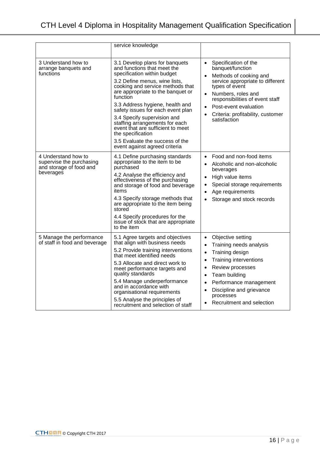|                                                                                                                                                                                                                                                                                                                                                                                                                                                                       | service knowledge                                                                                                                                                                                                                                                                                                                                                                                                                                                                         |                                                                                                                                                                                                                                                                                                        |
|-----------------------------------------------------------------------------------------------------------------------------------------------------------------------------------------------------------------------------------------------------------------------------------------------------------------------------------------------------------------------------------------------------------------------------------------------------------------------|-------------------------------------------------------------------------------------------------------------------------------------------------------------------------------------------------------------------------------------------------------------------------------------------------------------------------------------------------------------------------------------------------------------------------------------------------------------------------------------------|--------------------------------------------------------------------------------------------------------------------------------------------------------------------------------------------------------------------------------------------------------------------------------------------------------|
| 3 Understand how to<br>arrange banquets and<br>functions                                                                                                                                                                                                                                                                                                                                                                                                              | 3.1 Develop plans for banquets<br>and functions that meet the<br>specification within budget<br>3.2 Define menus, wine lists,<br>cooking and service methods that<br>are appropriate to the banquet or<br>function<br>3.3 Address hygiene, health and<br>safety issues for each event plan<br>3.4 Specify supervision and<br>staffing arrangements for each<br>event that are sufficient to meet<br>the specification<br>3.5 Evaluate the success of the<br>event against agreed criteria | Specification of the<br>$\bullet$<br>banquet/function<br>Methods of cooking and<br>$\bullet$<br>service appropriate to different<br>types of event<br>Numbers, roles and<br>$\bullet$<br>responsibilities of event staff<br>Post-event evaluation<br>Criteria: profitability, customer<br>satisfaction |
| 4 Understand how to<br>4.1 Define purchasing standards<br>supervise the purchasing<br>appropriate to the item to be<br>and storage of food and<br>purchased<br>beverages<br>4.2 Analyse the efficiency and<br>effectiveness of the purchasing<br>and storage of food and beverage<br>items<br>4.3 Specify storage methods that<br>are appropriate to the item being<br>stored<br>4.4 Specify procedures for the<br>issue of stock that are appropriate<br>to the item |                                                                                                                                                                                                                                                                                                                                                                                                                                                                                           | Food and non-food items<br>Alcoholic and non-alcoholic<br>beverages<br>High value items<br>Special storage requirements<br>Age requirements<br>Storage and stock records                                                                                                                               |
| 5 Manage the performance<br>of staff in food and beverage                                                                                                                                                                                                                                                                                                                                                                                                             | 5.1 Agree targets and objectives<br>that align with business needs<br>5.2 Provide training interventions<br>that meet identified needs<br>5.3 Allocate and direct work to<br>meet performance targets and<br>quality standards<br>5.4 Manage underperformance<br>and in accordance with<br>organisational requirements<br>5.5 Analyse the principles of<br>recruitment and selection of staff                                                                                             | Objective setting<br>Training needs analysis<br>Training design<br>$\bullet$<br><b>Training interventions</b><br>Review processes<br>Team building<br>Performance management<br>Discipline and grievance<br>$\bullet$<br>processes<br>Recruitment and selection                                        |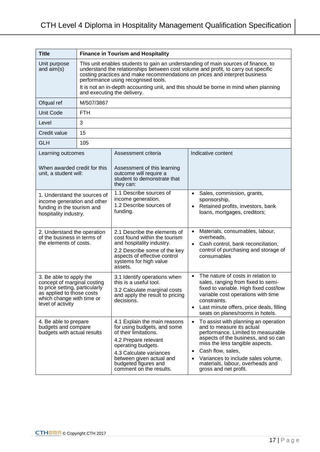| <b>Title</b>                                                                                                                                                            | <b>Finance in Tourism and Hospitality</b>                                                                                                                                                                                                                                                                                                                                                                              |                                                                                                                                                                                                                                              |                                                                                                                                                                                                                                                                                                                                          |
|-------------------------------------------------------------------------------------------------------------------------------------------------------------------------|------------------------------------------------------------------------------------------------------------------------------------------------------------------------------------------------------------------------------------------------------------------------------------------------------------------------------------------------------------------------------------------------------------------------|----------------------------------------------------------------------------------------------------------------------------------------------------------------------------------------------------------------------------------------------|------------------------------------------------------------------------------------------------------------------------------------------------------------------------------------------------------------------------------------------------------------------------------------------------------------------------------------------|
| Unit purpose<br>and $aim(s)$                                                                                                                                            | This unit enables students to gain an understanding of main sources of finance, to<br>understand the relationships between cost volume and profit, to carry out specific<br>costing practices and make recommendations on prices and interpret business<br>performance using recognised tools.<br>It is not an in-depth accounting unit, and this should be borne in mind when planning<br>and executing the delivery. |                                                                                                                                                                                                                                              |                                                                                                                                                                                                                                                                                                                                          |
| Ofqual ref                                                                                                                                                              | M/507/3867                                                                                                                                                                                                                                                                                                                                                                                                             |                                                                                                                                                                                                                                              |                                                                                                                                                                                                                                                                                                                                          |
| <b>Unit Code</b>                                                                                                                                                        | <b>FTH</b>                                                                                                                                                                                                                                                                                                                                                                                                             |                                                                                                                                                                                                                                              |                                                                                                                                                                                                                                                                                                                                          |
| Level                                                                                                                                                                   | 3                                                                                                                                                                                                                                                                                                                                                                                                                      |                                                                                                                                                                                                                                              |                                                                                                                                                                                                                                                                                                                                          |
| Credit value                                                                                                                                                            | 15                                                                                                                                                                                                                                                                                                                                                                                                                     |                                                                                                                                                                                                                                              |                                                                                                                                                                                                                                                                                                                                          |
| <b>GLH</b>                                                                                                                                                              | 105                                                                                                                                                                                                                                                                                                                                                                                                                    |                                                                                                                                                                                                                                              |                                                                                                                                                                                                                                                                                                                                          |
| Learning outcomes                                                                                                                                                       |                                                                                                                                                                                                                                                                                                                                                                                                                        | Assessment criteria                                                                                                                                                                                                                          | Indicative content                                                                                                                                                                                                                                                                                                                       |
| When awarded credit for this<br>unit, a student will:                                                                                                                   |                                                                                                                                                                                                                                                                                                                                                                                                                        | Assessment of this learning<br>outcome will require a<br>student to demonstrate that<br>they can:                                                                                                                                            |                                                                                                                                                                                                                                                                                                                                          |
| 1. Understand the sources of<br>income generation and other<br>funding in the tourism and<br>hospitality industry.                                                      |                                                                                                                                                                                                                                                                                                                                                                                                                        | 1.1 Describe sources of<br>income generation.<br>1.2 Describe sources of<br>funding.                                                                                                                                                         | Sales, commission, grants,<br>$\bullet$<br>sponsorship,<br>Retained profits, investors, bank<br>loans, mortgages, creditors;                                                                                                                                                                                                             |
| 2. Understand the operation<br>of the business in terms of<br>the elements of costs.                                                                                    |                                                                                                                                                                                                                                                                                                                                                                                                                        | 2.1 Describe the elements of<br>cost found within the tourism<br>and hospitality industry.<br>2.2 Describe some of the key<br>aspects of effective control<br>systems for high value<br>assets.                                              | Materials, consumables, labour,<br>overheads,<br>Cash control, bank reconciliation,<br>$\bullet$<br>control of purchasing and storage of<br>consumables                                                                                                                                                                                  |
| 3. Be able to apply the<br>concept of marginal costing<br>to price setting, particularly<br>as applied to those costs<br>which change with time or<br>level of activity |                                                                                                                                                                                                                                                                                                                                                                                                                        | 3.1 Identify operations when<br>this is a useful tool.<br>3.2 Calculate marginal costs<br>and apply the result to pricing<br>decisions.                                                                                                      | The nature of costs in relation to<br>$\bullet$<br>sales, ranging from fixed to semi-<br>fixed to variable. High fixed cost/low<br>variable cost operations with time<br>constraints.<br>Last minute offers, price deals, filling<br>$\bullet$<br>seats on planes/rooms in hotels.                                                       |
| 4. Be able to prepare<br>budgets and compare<br>budgets with actual results                                                                                             |                                                                                                                                                                                                                                                                                                                                                                                                                        | 4.1 Explain the main reasons<br>for using budgets, and some<br>of their limitations.<br>4.2 Prepare relevant<br>operating budgets.<br>4.3 Calculate variances<br>between given actual and<br>budgeted figures and<br>comment on the results. | To assist with planning an operation<br>$\bullet$<br>and to measure its actual<br>performance. Limited to measurable<br>aspects of the business, and so can<br>miss the less tangible aspects.<br>Cash flow, sales,<br>٠<br>Variances to include sales volume,<br>$\bullet$<br>materials, labour, overheads and<br>gross and net profit. |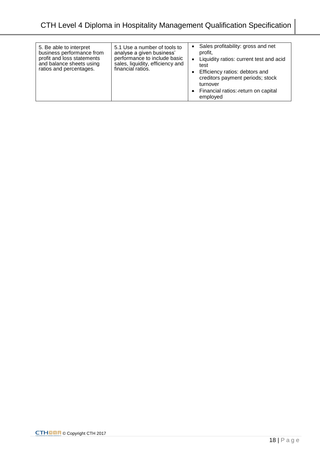| 5. Be able to interpret<br>business performance from<br>profit and loss statements<br>and balance sheets using<br>ratios and percentages. | 5.1 Use a number of tools to<br>analyse a given business'<br>performance to include basic<br>sales, liquidity, efficiency and<br>financial ratios. | Sales profitability: gross and net<br>profit,<br>Liquidity ratios: current test and acid<br>test<br>Efficiency ratios: debtors and<br>creditors payment periods; stock<br>turnover<br>• Financial ratios: return on capital<br>employed |
|-------------------------------------------------------------------------------------------------------------------------------------------|----------------------------------------------------------------------------------------------------------------------------------------------------|-----------------------------------------------------------------------------------------------------------------------------------------------------------------------------------------------------------------------------------------|
|-------------------------------------------------------------------------------------------------------------------------------------------|----------------------------------------------------------------------------------------------------------------------------------------------------|-----------------------------------------------------------------------------------------------------------------------------------------------------------------------------------------------------------------------------------------|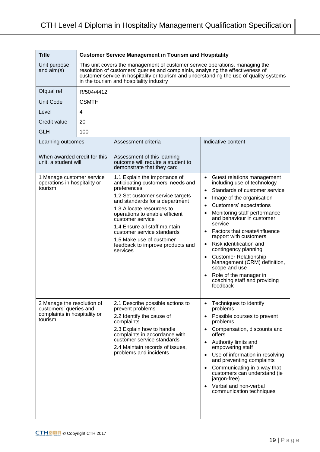| <b>Title</b>                                                                                    |                                                                                                                                                                                                                                                                                                       | <b>Customer Service Management in Tourism and Hospitality</b>                                                                                                                                                                                                                                                                                                                         |                                                                                                                                                                                                                                                                                                                                                                                                                                                                                                                                                                               |
|-------------------------------------------------------------------------------------------------|-------------------------------------------------------------------------------------------------------------------------------------------------------------------------------------------------------------------------------------------------------------------------------------------------------|---------------------------------------------------------------------------------------------------------------------------------------------------------------------------------------------------------------------------------------------------------------------------------------------------------------------------------------------------------------------------------------|-------------------------------------------------------------------------------------------------------------------------------------------------------------------------------------------------------------------------------------------------------------------------------------------------------------------------------------------------------------------------------------------------------------------------------------------------------------------------------------------------------------------------------------------------------------------------------|
| Unit purpose<br>and $aim(s)$                                                                    | This unit covers the management of customer service operations, managing the<br>resolution of customers' queries and complaints, analysing the effectiveness of<br>customer service in hospitality or tourism and understanding the use of quality systems<br>in the tourism and hospitality industry |                                                                                                                                                                                                                                                                                                                                                                                       |                                                                                                                                                                                                                                                                                                                                                                                                                                                                                                                                                                               |
| Ofqual ref                                                                                      | R/504/4412                                                                                                                                                                                                                                                                                            |                                                                                                                                                                                                                                                                                                                                                                                       |                                                                                                                                                                                                                                                                                                                                                                                                                                                                                                                                                                               |
| <b>Unit Code</b>                                                                                | <b>CSMTH</b>                                                                                                                                                                                                                                                                                          |                                                                                                                                                                                                                                                                                                                                                                                       |                                                                                                                                                                                                                                                                                                                                                                                                                                                                                                                                                                               |
| Level                                                                                           | 4                                                                                                                                                                                                                                                                                                     |                                                                                                                                                                                                                                                                                                                                                                                       |                                                                                                                                                                                                                                                                                                                                                                                                                                                                                                                                                                               |
| Credit value                                                                                    | 20                                                                                                                                                                                                                                                                                                    |                                                                                                                                                                                                                                                                                                                                                                                       |                                                                                                                                                                                                                                                                                                                                                                                                                                                                                                                                                                               |
| <b>GLH</b>                                                                                      | 100                                                                                                                                                                                                                                                                                                   |                                                                                                                                                                                                                                                                                                                                                                                       |                                                                                                                                                                                                                                                                                                                                                                                                                                                                                                                                                                               |
| Learning outcomes                                                                               |                                                                                                                                                                                                                                                                                                       | Assessment criteria                                                                                                                                                                                                                                                                                                                                                                   | Indicative content                                                                                                                                                                                                                                                                                                                                                                                                                                                                                                                                                            |
| When awarded credit for this<br>unit, a student will:                                           |                                                                                                                                                                                                                                                                                                       | Assessment of this learning<br>outcome will require a student to<br>demonstrate that they can:                                                                                                                                                                                                                                                                                        |                                                                                                                                                                                                                                                                                                                                                                                                                                                                                                                                                                               |
| 1 Manage customer service<br>operations in hospitality or<br>tourism                            |                                                                                                                                                                                                                                                                                                       | 1.1 Explain the importance of<br>anticipating customers' needs and<br>preferences<br>1.2 Set customer service targets<br>and standards for a department<br>1.3 Allocate resources to<br>operations to enable efficient<br>customer service<br>1.4 Ensure all staff maintain<br>customer service standards<br>1.5 Make use of customer<br>feedback to improve products and<br>services | Guest relations management<br>$\bullet$<br>including use of technology<br>Standards of customer service<br>$\bullet$<br>Image of the organisation<br>$\bullet$<br>Customers' expectations<br>$\bullet$<br>Monitoring staff performance<br>and behaviour in customer<br>service<br>Factors that create/influence<br>rapport with customers<br>Risk identification and<br>$\bullet$<br>contingency planning<br><b>Customer Relationship</b><br>$\bullet$<br>Management (CRM) definition,<br>scope and use<br>Role of the manager in<br>coaching staff and providing<br>feedback |
| 2 Manage the resolution of<br>customers' queries and<br>complaints in hospitality or<br>tourism |                                                                                                                                                                                                                                                                                                       | 2.1 Describe possible actions to<br>prevent problems<br>2.2 Identify the cause of<br>complaints<br>2.3 Explain how to handle<br>complaints in accordance with<br>customer service standards<br>2.4 Maintain records of issues,<br>problems and incidents                                                                                                                              | Techniques to identify<br>$\bullet$<br>problems<br>Possible courses to prevent<br>$\bullet$<br>problems<br>Compensation, discounts and<br>offers<br>Authority limits and<br>$\bullet$<br>empowering staff<br>Use of information in resolving<br>$\bullet$<br>and preventing complaints<br>Communicating in a way that<br>customers can understand (ie<br>jargon-free)<br>Verbal and non-verbal<br>communication techniques                                                                                                                                                    |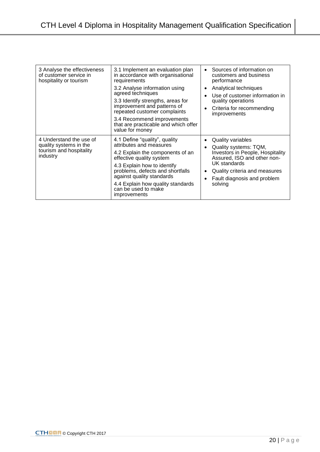| 3 Analyse the effectiveness<br>of customer service in<br>hospitality or tourism          | 3.1 Implement an evaluation plan<br>in accordance with organisational<br>requirements<br>3.2 Analyse information using<br>agreed techniques<br>3.3 Identify strengths, areas for<br>improvement and patterns of<br>repeated customer complaints<br>3.4 Recommend improvements<br>that are practicable and which offer<br>value for money | Sources of information on<br>customers and business<br>performance<br>Analytical techniques<br>Use of customer information in<br>quality operations<br>Criteria for recommending<br>improvements                       |
|------------------------------------------------------------------------------------------|------------------------------------------------------------------------------------------------------------------------------------------------------------------------------------------------------------------------------------------------------------------------------------------------------------------------------------------|------------------------------------------------------------------------------------------------------------------------------------------------------------------------------------------------------------------------|
| 4 Understand the use of<br>quality systems in the<br>tourism and hospitality<br>industry | 4.1 Define "quality", quality<br>attributes and measures<br>4.2 Explain the components of an<br>effective quality system<br>4.3 Explain how to identify<br>problems, defects and shortfalls<br>against quality standards<br>4.4 Explain how quality standards<br>can be used to make<br>improvements                                     | <b>Quality variables</b><br>Quality systems: TQM,<br><b>Investors in People, Hospitality</b><br>Assured, ISO and other non-<br>UK standards<br>Quality criteria and measures<br>Fault diagnosis and problem<br>solving |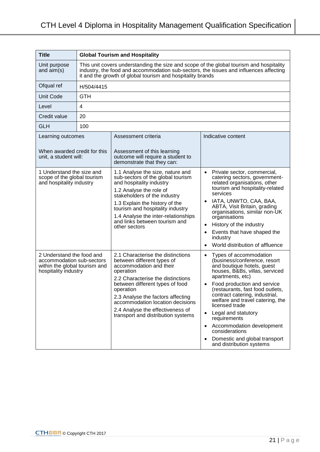| <b>Title</b>                                                                                                    | <b>Global Tourism and Hospitality</b>                                                                                                                                                                                                          |                                                                                                                                                                                                                                                                                                                                                 |                                                                                                                                                                                                                                                                                                                                                                                                                                                          |
|-----------------------------------------------------------------------------------------------------------------|------------------------------------------------------------------------------------------------------------------------------------------------------------------------------------------------------------------------------------------------|-------------------------------------------------------------------------------------------------------------------------------------------------------------------------------------------------------------------------------------------------------------------------------------------------------------------------------------------------|----------------------------------------------------------------------------------------------------------------------------------------------------------------------------------------------------------------------------------------------------------------------------------------------------------------------------------------------------------------------------------------------------------------------------------------------------------|
| Unit purpose<br>and $aim(s)$                                                                                    | This unit covers understanding the size and scope of the global tourism and hospitality<br>industry, the food and accommodation sub-sectors, the issues and influences affecting<br>it and the growth of global tourism and hospitality brands |                                                                                                                                                                                                                                                                                                                                                 |                                                                                                                                                                                                                                                                                                                                                                                                                                                          |
| Ofqual ref                                                                                                      | H/504/4415                                                                                                                                                                                                                                     |                                                                                                                                                                                                                                                                                                                                                 |                                                                                                                                                                                                                                                                                                                                                                                                                                                          |
| <b>Unit Code</b>                                                                                                | <b>GTH</b>                                                                                                                                                                                                                                     |                                                                                                                                                                                                                                                                                                                                                 |                                                                                                                                                                                                                                                                                                                                                                                                                                                          |
| Level                                                                                                           | 4                                                                                                                                                                                                                                              |                                                                                                                                                                                                                                                                                                                                                 |                                                                                                                                                                                                                                                                                                                                                                                                                                                          |
| Credit value                                                                                                    | 20                                                                                                                                                                                                                                             |                                                                                                                                                                                                                                                                                                                                                 |                                                                                                                                                                                                                                                                                                                                                                                                                                                          |
| <b>GLH</b>                                                                                                      | 100                                                                                                                                                                                                                                            |                                                                                                                                                                                                                                                                                                                                                 |                                                                                                                                                                                                                                                                                                                                                                                                                                                          |
| Learning outcomes                                                                                               |                                                                                                                                                                                                                                                | Assessment criteria                                                                                                                                                                                                                                                                                                                             | Indicative content                                                                                                                                                                                                                                                                                                                                                                                                                                       |
| When awarded credit for this<br>unit, a student will:                                                           |                                                                                                                                                                                                                                                | Assessment of this learning<br>outcome will require a student to<br>demonstrate that they can:                                                                                                                                                                                                                                                  |                                                                                                                                                                                                                                                                                                                                                                                                                                                          |
| 1 Understand the size and<br>scope of the global tourism<br>and hospitality industry                            |                                                                                                                                                                                                                                                | 1.1 Analyse the size, nature and<br>sub-sectors of the global tourism<br>and hospitality industry<br>1.2 Analyse the role of<br>stakeholders of the industry<br>1.3 Explain the history of the<br>tourism and hospitality industry<br>1.4 Analyse the inter-relationships<br>and links between tourism and<br>other sectors                     | Private sector, commercial,<br>$\bullet$<br>catering sectors, government-<br>related organisations, other<br>tourism and hospitality-related<br>services<br>IATA, UNWTO, CAA, BAA,<br>ABTA, Visit Britain, grading<br>organisations, similar non-UK<br>organisations<br>History of the industry<br>$\bullet$<br>Events that have shaped the<br>industry<br>World distribution of affluence                                                               |
| 2 Understand the food and<br>accommodation sub-sectors<br>within the global tourism and<br>hospitality industry |                                                                                                                                                                                                                                                | 2.1 Characterise the distinctions<br>between different types of<br>accommodation and their<br>operation<br>2.2 Characterise the distinctions<br>between different types of food<br>operation<br>2.3 Analyse the factors affecting<br>accommodation location decisions<br>2.4 Analyse the effectiveness of<br>transport and distribution systems | Types of accommodation<br>(business/conference, resort<br>and boutique hotels, guest<br>houses, B&Bs, villas, serviced<br>apartments, etc)<br>Food production and service<br>(restaurants, fast food outlets,<br>contract catering, industrial,<br>welfare and travel catering, the<br>licensed trade<br>Legal and statutory<br>requirements<br>Accommodation development<br>considerations<br>Domestic and global transport<br>and distribution systems |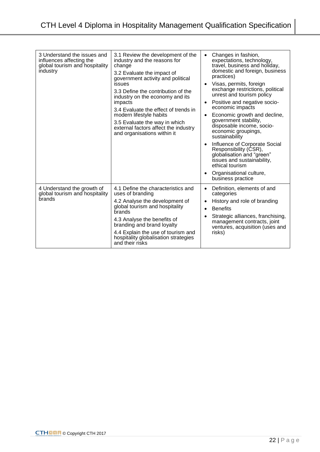| 3 Understand the issues and<br>influences affecting the<br>global tourism and hospitality<br>industry | 3.1 Review the development of the<br>industry and the reasons for<br>change<br>3.2 Evaluate the impact of<br>government activity and political<br>issues<br>3.3 Define the contribution of the<br>industry on the economy and its<br>impacts<br>3.4 Evaluate the effect of trends in<br>modern lifestyle habits<br>3.5 Evaluate the way in which<br>external factors affect the industry<br>and organisations within it | Changes in fashion,<br>$\bullet$<br>expectations, technology,<br>travel, business and holiday,<br>domestic and foreign, business<br>practices)<br>Visas, permits, foreign<br>exchange restrictions, political<br>unrest and tourism policy<br>Positive and negative socio-<br>economic impacts<br>Economic growth and decline,<br>$\bullet$<br>government stability,<br>disposable income, socio-<br>economic groupings,<br>sustainability<br>Influence of Corporate Social<br>$\bullet$<br>Responsibility (CSR),<br>globalisation and "green"<br>issues and sustainability,<br>ethical tourism<br>Organisational culture,<br>٠<br>business practice |
|-------------------------------------------------------------------------------------------------------|-------------------------------------------------------------------------------------------------------------------------------------------------------------------------------------------------------------------------------------------------------------------------------------------------------------------------------------------------------------------------------------------------------------------------|------------------------------------------------------------------------------------------------------------------------------------------------------------------------------------------------------------------------------------------------------------------------------------------------------------------------------------------------------------------------------------------------------------------------------------------------------------------------------------------------------------------------------------------------------------------------------------------------------------------------------------------------------|
| 4 Understand the growth of<br>global tourism and hospitality<br><b>brands</b>                         | 4.1 Define the characteristics and<br>uses of branding<br>4.2 Analyse the development of<br>global tourism and hospitality<br>brands<br>4.3 Analyse the benefits of<br>branding and brand loyalty<br>4.4 Explain the use of tourism and<br>hospitality globalisation strategies<br>and their risks                                                                                                                      | Definition, elements of and<br>$\bullet$<br>categories<br>History and role of branding<br>$\bullet$<br><b>Benefits</b><br>$\bullet$<br>Strategic alliances, franchising,<br>$\bullet$<br>management contracts, joint<br>ventures, acquisition (uses and<br>risks)                                                                                                                                                                                                                                                                                                                                                                                    |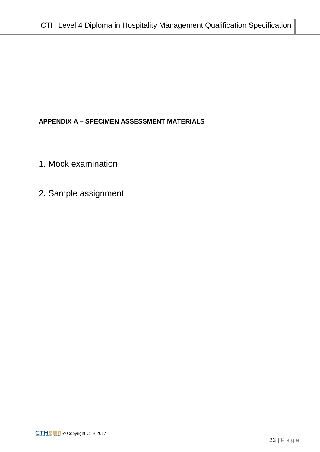# **APPENDIX A – SPECIMEN ASSESSMENT MATERIALS**

- 1. Mock examination
- 2. Sample assignment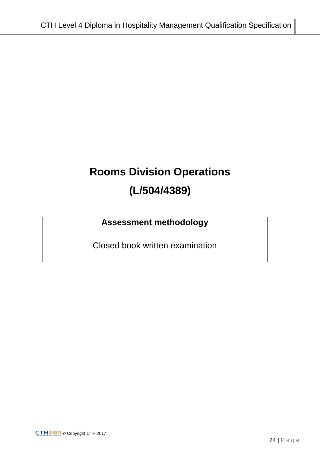# **Rooms Division Operations (L/504/4389)**

# **Assessment methodology**

Closed book written examination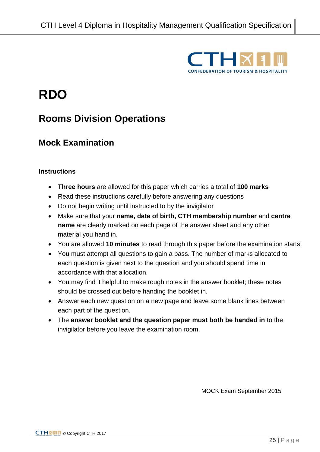

# **RDO**

# **Rooms Division Operations**

# **Mock Examination**

### **Instructions**

- **Three hours** are allowed for this paper which carries a total of **100 marks**
- Read these instructions carefully before answering any questions
- Do not begin writing until instructed to by the invigilator
- Make sure that your **name, date of birth, CTH membership number** and **centre name** are clearly marked on each page of the answer sheet and any other material you hand in.
- You are allowed **10 minutes** to read through this paper before the examination starts.
- You must attempt all questions to gain a pass. The number of marks allocated to each question is given next to the question and you should spend time in accordance with that allocation.
- You may find it helpful to make rough notes in the answer booklet; these notes should be crossed out before handing the booklet in.
- Answer each new question on a new page and leave some blank lines between each part of the question.
- The **answer booklet and the question paper must both be handed in** to the invigilator before you leave the examination room.

MOCK Exam September 2015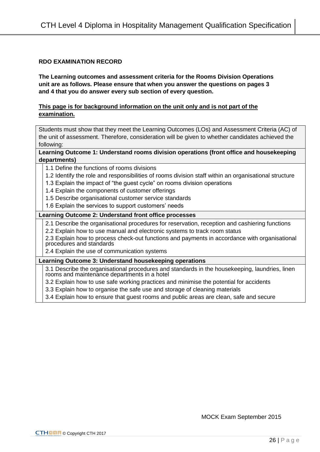### **RDO EXAMINATION RECORD**

**The Learning outcomes and assessment criteria for the Rooms Division Operations unit are as follows. Please ensure that when you answer the questions on pages 3 and 4 that you do answer every sub section of every question.** 

### **This page is for background information on the unit only and is not part of the examination.**

Students must show that they meet the Learning Outcomes (LOs) and Assessment Criteria (AC) of the unit of assessment. Therefore, consideration will be given to whether candidates achieved the following:

### **Learning Outcome 1: Understand rooms division operations (front office and housekeeping departments)**

- 1.1 Define the functions of rooms divisions
- 1.2 Identify the role and responsibilities of rooms division staff within an organisational structure
- 1.3 Explain the impact of "the guest cycle" on rooms division operations
- 1.4 Explain the components of customer offerings
- 1.5 Describe organisational customer service standards
- 1.6 Explain the services to support customers' needs

### **Learning Outcome 2: Understand front office processes**

2.1 Describe the organisational procedures for reservation, reception and cashiering functions

2.2 Explain how to use manual and electronic systems to track room status

2.3 Explain how to process check-out functions and payments in accordance with organisational procedures and standards

2.4 Explain the use of communication systems

### **Learning Outcome 3: Understand housekeeping operations**

3.1 Describe the organisational procedures and standards in the housekeeping, laundries, linen rooms and maintenance departments in a hotel

- 3.2 Explain how to use safe working practices and minimise the potential for accidents
- 3.3 Explain how to organise the safe use and storage of cleaning materials

3.4 Explain how to ensure that guest rooms and public areas are clean, safe and secure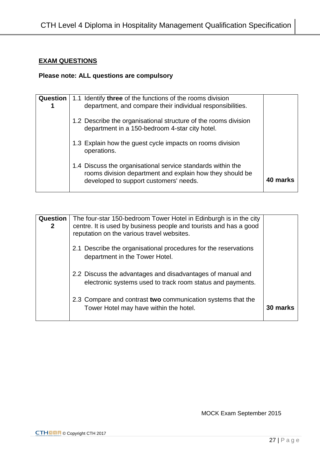## **EXAM QUESTIONS**

# **Please note: ALL questions are compulsory**

| Question | 1.1 Identify three of the functions of the rooms division<br>department, and compare their individual responsibilities.                                           |          |
|----------|-------------------------------------------------------------------------------------------------------------------------------------------------------------------|----------|
|          | 1.2 Describe the organisational structure of the rooms division<br>department in a 150-bedroom 4-star city hotel.                                                 |          |
|          | 1.3 Explain how the guest cycle impacts on rooms division<br>operations.                                                                                          |          |
|          | 1.4 Discuss the organisational service standards within the<br>rooms division department and explain how they should be<br>developed to support customers' needs. | 40 marks |

| <b>Question</b><br>$\mathbf{2}$ | The four-star 150-bedroom Tower Hotel in Edinburgh is in the city<br>centre. It is used by business people and tourists and has a good<br>reputation on the various travel websites. |          |
|---------------------------------|--------------------------------------------------------------------------------------------------------------------------------------------------------------------------------------|----------|
|                                 | 2.1 Describe the organisational procedures for the reservations<br>department in the Tower Hotel.                                                                                    |          |
|                                 | 2.2 Discuss the advantages and disadvantages of manual and<br>electronic systems used to track room status and payments.                                                             |          |
|                                 | 2.3 Compare and contrast two communication systems that the<br>Tower Hotel may have within the hotel.                                                                                | 30 marks |

MOCK Exam September 2015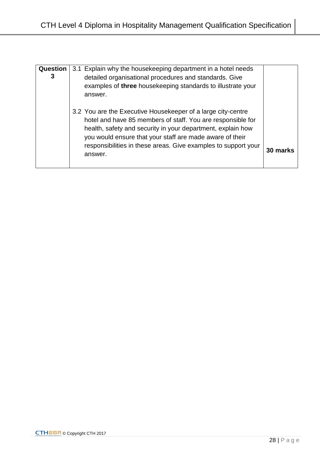| <b>Question</b><br>3 | 3.1 Explain why the housekeeping department in a hotel needs<br>detailed organisational procedures and standards. Give<br>examples of three housekeeping standards to illustrate your<br>answer.                                                                                                                                    |          |
|----------------------|-------------------------------------------------------------------------------------------------------------------------------------------------------------------------------------------------------------------------------------------------------------------------------------------------------------------------------------|----------|
|                      | 3.2 You are the Executive Housekeeper of a large city-centre<br>hotel and have 85 members of staff. You are responsible for<br>health, safety and security in your department, explain how<br>you would ensure that your staff are made aware of their<br>responsibilities in these areas. Give examples to support your<br>answer. | 30 marks |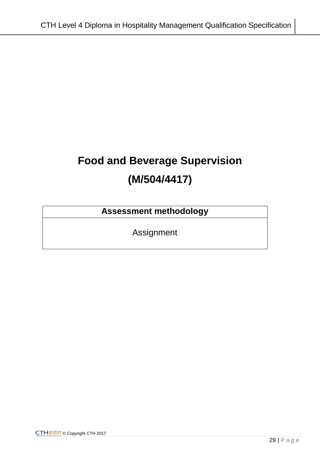# **Food and Beverage Supervision (M/504/4417)**

# **Assessment methodology**

Assignment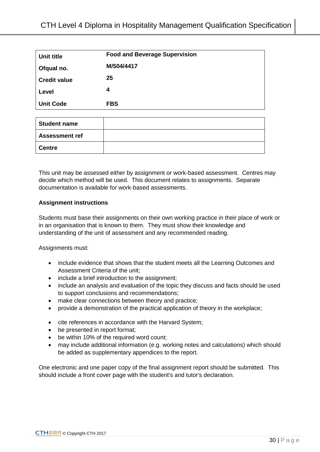| Unit title          | <b>Food and Beverage Supervision</b> |
|---------------------|--------------------------------------|
| Ofqual no.          | M/504/4417                           |
| <b>Credit value</b> | 25                                   |
| Level               | 4                                    |
| <b>Unit Code</b>    | <b>FBS</b>                           |

| <b>Student name</b>   |  |
|-----------------------|--|
| <b>Assessment ref</b> |  |
| <b>Centre</b>         |  |

This unit may be assessed either by assignment or work-based assessment. Centres may decide which method will be used. This document relates to assignments. Separate documentation is available for work-based assessments.

### **Assignment instructions**

Students must base their assignments on their own working practice in their place of work or in an organisation that is known to them. They must show their knowledge and understanding of the unit of assessment and any recommended reading.

Assignments must:

- include evidence that shows that the student meets all the Learning Outcomes and Assessment Criteria of the unit;
- include a brief introduction to the assignment;
- include an analysis and evaluation of the topic they discuss and facts should be used to support conclusions and recommendations;
- make clear connections between theory and practice;
- provide a demonstration of the practical application of theory in the workplace;
- cite references in accordance with the Harvard System;
- be presented in report format;
- be within 10% of the required word count;
- may include additional information (e.g. working notes and calculations) which should be added as supplementary appendices to the report.

One electronic and one paper copy of the final assignment report should be submitted. This should include a front cover page with the student's and tutor's declaration.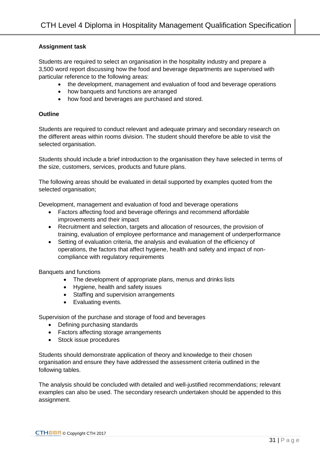### **Assignment task**

Students are required to select an organisation in the hospitality industry and prepare a 3,500 word report discussing how the food and beverage departments are supervised with particular reference to the following areas:

- the development, management and evaluation of food and beverage operations
- how banquets and functions are arranged
- how food and beverages are purchased and stored.

### **Outline**

Students are required to conduct relevant and adequate primary and secondary research on the different areas within rooms division. The student should therefore be able to visit the selected organisation.

Students should include a brief introduction to the organisation they have selected in terms of the size, customers, services, products and future plans.

The following areas should be evaluated in detail supported by examples quoted from the selected organisation;

Development, management and evaluation of food and beverage operations

- Factors affecting food and beverage offerings and recommend affordable improvements and their impact
- Recruitment and selection, targets and allocation of resources, the provision of training, evaluation of employee performance and management of underperformance
- Setting of evaluation criteria, the analysis and evaluation of the efficiency of operations, the factors that affect hygiene, health and safety and impact of noncompliance with regulatory requirements

Banquets and functions

- The development of appropriate plans, menus and drinks lists
- Hygiene, health and safety issues
- Staffing and supervision arrangements
- Evaluating events.

Supervision of the purchase and storage of food and beverages

- Defining purchasing standards
- Factors affecting storage arrangements
- Stock issue procedures

Students should demonstrate application of theory and knowledge to their chosen organisation and ensure they have addressed the assessment criteria outlined in the following tables.

The analysis should be concluded with detailed and well-justified recommendations; relevant examples can also be used. The secondary research undertaken should be appended to this assignment.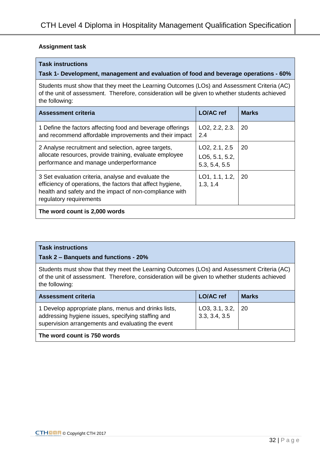### **Assignment task**

### **Task instructions**

### **Task 1- Development, management and evaluation of food and beverage operations - 60%**

Students must show that they meet the Learning Outcomes (LOs) and Assessment Criteria (AC) of the unit of assessment. Therefore, consideration will be given to whether students achieved the following:

| <b>Assessment criteria</b>                                                                                                                                                                              | <b>LO/AC</b> ref                                              | <b>Marks</b> |
|---------------------------------------------------------------------------------------------------------------------------------------------------------------------------------------------------------|---------------------------------------------------------------|--------------|
| 1 Define the factors affecting food and beverage offerings<br>and recommend affordable improvements and their impact                                                                                    | LO2, 2.2, 2.3.<br>2.4                                         | -20          |
| 2 Analyse recruitment and selection, agree targets,<br>allocate resources, provide training, evaluate employee<br>performance and manage underperformance                                               | LO <sub>2</sub> , 2.1, 2.5<br>LO5, 5.1, 5.2,<br>5.3, 5.4, 5.5 | -20          |
| 3 Set evaluation criteria, analyse and evaluate the<br>efficiency of operations, the factors that affect hygiene,<br>health and safety and the impact of non-compliance with<br>regulatory requirements | LO1, 1.1, 1.2,<br>1.3, 1.4                                    | -20          |
| The word count is 2,000 words                                                                                                                                                                           |                                                               |              |

### **Task instructions**

### **Task 2 – Banquets and functions - 20%**

Students must show that they meet the Learning Outcomes (LOs) and Assessment Criteria (AC) of the unit of assessment. Therefore, consideration will be given to whether students achieved the following:

| <b>Assessment criteria</b>                                                                                                                                      | <b>LO/AC</b> ref                | <b>Marks</b> |
|-----------------------------------------------------------------------------------------------------------------------------------------------------------------|---------------------------------|--------------|
| 1 Develop appropriate plans, menus and drinks lists,<br>addressing hygiene issues, specifying staffing and<br>supervision arrangements and evaluating the event | LO3, 3.1, 3.2,<br>3.3, 3.4, 3.5 | -20          |
| The word count is 750 words                                                                                                                                     |                                 |              |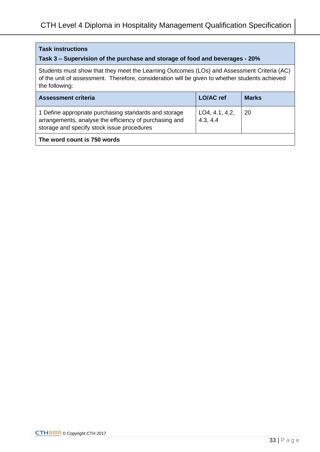### **Task instructions**

## **Task 3 – Supervision of the purchase and storage of food and beverages - 20%**

Students must show that they meet the Learning Outcomes (LOs) and Assessment Criteria (AC) of the unit of assessment. Therefore, consideration will be given to whether students achieved the following:

| <b>Assessment criteria</b>                                                                                                                                    | <b>LO/AC</b> ref           | <b>Marks</b> |
|---------------------------------------------------------------------------------------------------------------------------------------------------------------|----------------------------|--------------|
| 1 Define appropriate purchasing standards and storage<br>arrangements, analyse the efficiency of purchasing and<br>storage and specify stock issue procedures | LO4, 4.1, 4.2,<br>4.3, 4.4 | -20          |
| The word count is 750 words                                                                                                                                   |                            |              |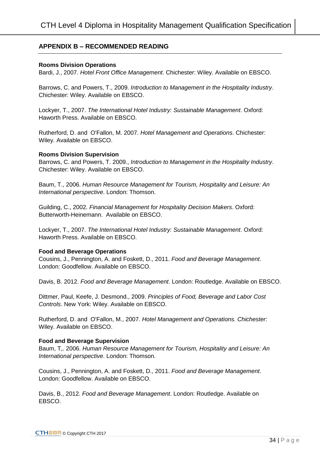### **APPENDIX B – RECOMMENDED READING**

### **Rooms Division Operations**

Bardi, J., 2007. *Hotel Front Office Management*. Chichester: Wiley. Available on EBSCO.

Barrows, C. and Powers, T., 2009. *Introduction to Management in the Hospitality Industry*. Chichester: Wiley. Available on EBSCO.

Lockyer, T., 2007. *The International Hotel Industry: Sustainable Management*. Oxford: Haworth Press. Available on EBSCO.

Rutherford, D. and O'Fallon, M. 2007. *Hotel Management and Operations*. Chichester: Wiley. Available on EBSCO.

### **Rooms Division Supervision**

Barrows, C. and Powers, T. 2009., *Introduction to Management in the Hospitality Industry*. Chichester: Wiley. Available on EBSCO.

Baum, T., 2006. *Human Resource Management for Tourism, Hospitality and Leisure: An International perspective*. London: Thomson.

Guilding, C., 2002. *Financial Management for Hospitality Decision Makers*. Oxford: Butterworth-Heinemann. Available on EBSCO.

Lockyer, T., 2007. *The International Hotel Industry: Sustainable Management*. Oxford: Haworth Press. Available on EBSCO.

### **Food and Beverage Operations**

Cousins, J., Pennington, A. and Foskett, D., 2011. *Food and Beverage Management*. London: Goodfellow. Available on EBSCO.

Davis, B. 2012. *Food and Beverage Management*. London: Routledge. Available on EBSCO.

Dittmer, Paul, Keefe, J. Desmond., 2009. *Principles of Food, Beverage and Labor Cost Controls*. New York: Wiley. Available on EBSCO.

Rutherford, D. and O'Fallon, M., 2007. *Hotel Management and Operations. Chichester*: Wiley. Available on EBSCO.

### **Food and Beverage Supervision**

Baum, T,. 2006. *Human Resource Management for Tourism, Hospitality and Leisure: An International perspective*. London: Thomson.

Cousins, J., Pennington, A. and Foskett, D., 2011. *Food and Beverage Management*. London: Goodfellow. Available on EBSCO.

Davis, B., 2012. *Food and Beverage Management*. London: Routledge. Available on EBSCO.